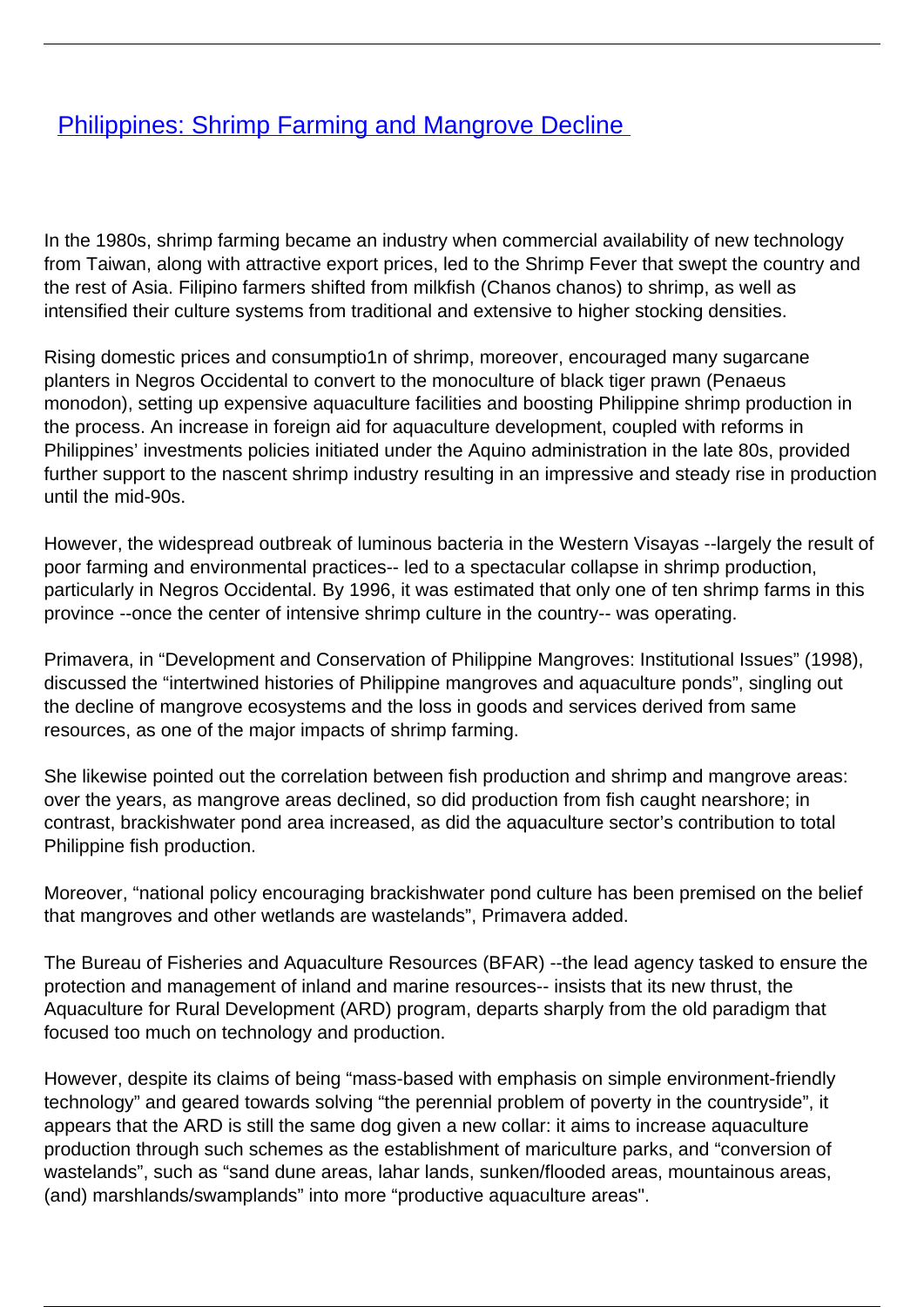## **[Philippines: Shrimp Farming and Mangrove Decline](/bulletin-articles/philippines-shrimp-farming-and-mangrove-decline)**

In the 1980s, shrimp farming became an industry when commercial availability of new technology from Taiwan, along with attractive export prices, led to the Shrimp Fever that swept the country and the rest of Asia. Filipino farmers shifted from milkfish (Chanos chanos) to shrimp, as well as intensified their culture systems from traditional and extensive to higher stocking densities.

Rising domestic prices and consumptio1n of shrimp, moreover, encouraged many sugarcane planters in Negros Occidental to convert to the monoculture of black tiger prawn (Penaeus monodon), setting up expensive aquaculture facilities and boosting Philippine shrimp production in the process. An increase in foreign aid for aquaculture development, coupled with reforms in Philippines' investments policies initiated under the Aquino administration in the late 80s, provided further support to the nascent shrimp industry resulting in an impressive and steady rise in production until the mid-90s.

However, the widespread outbreak of luminous bacteria in the Western Visayas --largely the result of poor farming and environmental practices-- led to a spectacular collapse in shrimp production, particularly in Negros Occidental. By 1996, it was estimated that only one of ten shrimp farms in this province --once the center of intensive shrimp culture in the country-- was operating.

Primavera, in "Development and Conservation of Philippine Mangroves: Institutional Issues" (1998), discussed the "intertwined histories of Philippine mangroves and aquaculture ponds", singling out the decline of mangrove ecosystems and the loss in goods and services derived from same resources, as one of the major impacts of shrimp farming.

She likewise pointed out the correlation between fish production and shrimp and mangrove areas: over the years, as mangrove areas declined, so did production from fish caught nearshore; in contrast, brackishwater pond area increased, as did the aquaculture sector's contribution to total Philippine fish production.

Moreover, "national policy encouraging brackishwater pond culture has been premised on the belief that mangroves and other wetlands are wastelands", Primavera added.

The Bureau of Fisheries and Aquaculture Resources (BFAR) --the lead agency tasked to ensure the protection and management of inland and marine resources-- insists that its new thrust, the Aquaculture for Rural Development (ARD) program, departs sharply from the old paradigm that focused too much on technology and production.

However, despite its claims of being "mass-based with emphasis on simple environment-friendly technology" and geared towards solving "the perennial problem of poverty in the countryside", it appears that the ARD is still the same dog given a new collar: it aims to increase aquaculture production through such schemes as the establishment of mariculture parks, and "conversion of wastelands", such as "sand dune areas, lahar lands, sunken/flooded areas, mountainous areas, (and) marshlands/swamplands" into more "productive aquaculture areas".